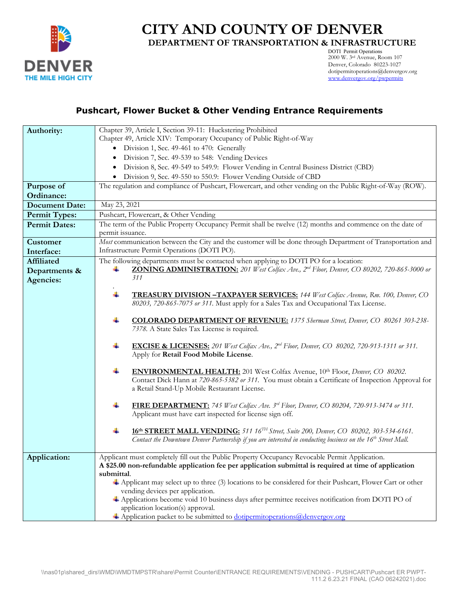

## **CITY AND COUNTY OF DENVER DEPARTMENT OF TRANSPORTATION & INFRASTRUCTURE**

DOTI Permit Operations 2000 W. 3rd Avenue, Room 107 Denver, Colorado 80223-1027 dotipermitoperations@denvergov.org [www.denvergov.org/pwpermits](http://www.denvergov.org/pwpermits)

### **Pushcart, Flower Bucket & Other Vending Entrance Requirements**

| Authority:            | Chapter 39, Article I, Section 39-11: Huckstering Prohibited                                                                           |  |  |  |  |  |  |  |  |
|-----------------------|----------------------------------------------------------------------------------------------------------------------------------------|--|--|--|--|--|--|--|--|
|                       | Chapter 49, Article XIV: Temporary Occupancy of Public Right-of-Way                                                                    |  |  |  |  |  |  |  |  |
|                       | Division 1, Sec. 49-461 to 470: Generally<br>$\bullet$                                                                                 |  |  |  |  |  |  |  |  |
|                       | Division 7, Sec. 49-539 to 548: Vending Devices<br>٠                                                                                   |  |  |  |  |  |  |  |  |
|                       | Division 8, Sec. 49-549 to 549.9: Flower Vending in Central Business District (CBD)                                                    |  |  |  |  |  |  |  |  |
|                       | Division 9, Sec. 49-550 to 550.9: Flower Vending Outside of CBD                                                                        |  |  |  |  |  |  |  |  |
| Purpose of            | The regulation and compliance of Pushcart, Flowercart, and other vending on the Public Right-of-Way (ROW).                             |  |  |  |  |  |  |  |  |
| Ordinance:            |                                                                                                                                        |  |  |  |  |  |  |  |  |
| <b>Document Date:</b> | May 23, 2021                                                                                                                           |  |  |  |  |  |  |  |  |
| <b>Permit Types:</b>  | Pushcart, Flowercart, & Other Vending                                                                                                  |  |  |  |  |  |  |  |  |
| <b>Permit Dates:</b>  | The term of the Public Property Occupancy Permit shall be twelve (12) months and commence on the date of                               |  |  |  |  |  |  |  |  |
|                       | permit issuance.                                                                                                                       |  |  |  |  |  |  |  |  |
| Customer              | Most communication between the City and the customer will be done through Department of Transportation and                             |  |  |  |  |  |  |  |  |
| Interface:            | Infrastructure Permit Operations (DOTI PO).                                                                                            |  |  |  |  |  |  |  |  |
| <b>Affiliated</b>     | The following departments must be contacted when applying to DOTI PO for a location:                                                   |  |  |  |  |  |  |  |  |
| Departments &         | ZONING ADMINISTRATION: 201 West Colfax Ave., 2 <sup>nd</sup> Floor, Denver, CO 80202, 720-865-3000 or                                  |  |  |  |  |  |  |  |  |
| Agencies:             | 311                                                                                                                                    |  |  |  |  |  |  |  |  |
|                       |                                                                                                                                        |  |  |  |  |  |  |  |  |
|                       | ÷<br><b>TREASURY DIVISION -TAXPAYER SERVICES:</b> 144 West Colfax Avenue, Rm. 100, Denver, CO                                          |  |  |  |  |  |  |  |  |
|                       | 80203, 720-865-7075 or 311. Must apply for a Sales Tax and Occupational Tax License.                                                   |  |  |  |  |  |  |  |  |
|                       | ÷<br><b>COLORADO DEPARTMENT OF REVENUE:</b> 1375 Sherman Street, Denver, CO 80261 303-238-                                             |  |  |  |  |  |  |  |  |
|                       | 7378. A State Sales Tax License is required.                                                                                           |  |  |  |  |  |  |  |  |
|                       |                                                                                                                                        |  |  |  |  |  |  |  |  |
|                       | ÷<br><b>EXCISE &amp; LICENSES:</b> 201 West Colfax Ave., 2 <sup>nd</sup> Floor, Denver, CO 80202, 720-913-1311 or 311.                 |  |  |  |  |  |  |  |  |
|                       | Apply for Retail Food Mobile License.                                                                                                  |  |  |  |  |  |  |  |  |
|                       |                                                                                                                                        |  |  |  |  |  |  |  |  |
|                       | ÷<br><b>ENVIRONMENTAL HEALTH:</b> 201 West Colfax Avenue, 10th Floor, Denver, CO 80202.                                                |  |  |  |  |  |  |  |  |
|                       | Contact Dick Hann at 720-865-5382 or 311. You must obtain a Certificate of Inspection Approval for                                     |  |  |  |  |  |  |  |  |
|                       | a Retail Stand-Up Mobile Restaurant License.                                                                                           |  |  |  |  |  |  |  |  |
|                       | ÷<br>FIRE DEPARTMENT: 745 West Colfax Ave. 3rd Floor, Denver, CO 80204, 720-913-3474 or 311.                                           |  |  |  |  |  |  |  |  |
|                       | Applicant must have cart inspected for license sign off.                                                                               |  |  |  |  |  |  |  |  |
|                       |                                                                                                                                        |  |  |  |  |  |  |  |  |
|                       | ÷<br><b>16th STREET MALL VENDING:</b> 511 16 <sup>TH</sup> Street, Suite 200, Denver, CO 80202, 303-534-6161.                          |  |  |  |  |  |  |  |  |
|                       | Contact the Downtown Denver Partnership if you are interested in conducting business on the 16 <sup>th</sup> Street Mall.              |  |  |  |  |  |  |  |  |
|                       |                                                                                                                                        |  |  |  |  |  |  |  |  |
| Application:          | Applicant must completely fill out the Public Property Occupancy Revocable Permit Application.                                         |  |  |  |  |  |  |  |  |
|                       | A \$25.00 non-refundable application fee per application submittal is required at time of application                                  |  |  |  |  |  |  |  |  |
|                       | submittal.                                                                                                                             |  |  |  |  |  |  |  |  |
|                       | Applicant may select up to three (3) locations to be considered for their Pushcart, Flower Cart or other                               |  |  |  |  |  |  |  |  |
|                       | vending devices per application.                                                                                                       |  |  |  |  |  |  |  |  |
|                       | + Applications become void 10 business days after permittee receives notification from DOTI PO of<br>application location(s) approval. |  |  |  |  |  |  |  |  |
|                       | Application packet to be submitted to dotipermitoperations@denvergov.org                                                               |  |  |  |  |  |  |  |  |
|                       |                                                                                                                                        |  |  |  |  |  |  |  |  |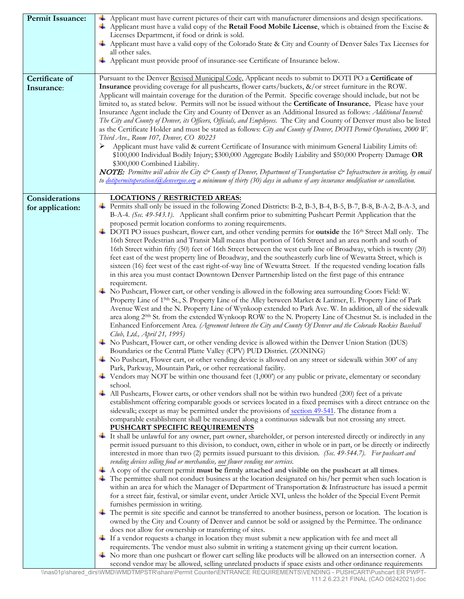| <b>Permit Issuance:</b>            | Applicant must have current pictures of their cart with manufacturer dimensions and design specifications.<br>Applicant must have a valid copy of the Retail Food Mobile License, which is obtained from the Excise &<br>Licenses Department, if food or drink is sold.<br>Applicant must have a valid copy of the Colorado State & City and County of Denver Sales Tax Licenses for<br>all other sales.<br>+ Applicant must provide proof of insurance-see Certificate of Insurance below.                                                                                                                                                                                                                                                                                                                                                                                                                                                                                                                                                                                                                                                                                                                                                                                                                                                                                                                                                                                                                                                                                                                                                                                                                                                                                                                                                                                                                                                                                                                                                                                                                                                                                                                                                                                                                                                                                                                                                                                                                                                                                                                                                                                                                                                                                                                                                                                                                                                                                                                                                                                                                                                                                                                                                                                                                                                                                                                                                                                                                                                                                                                                                                                                                                                                                                                                                                                                                                                                                                                                                                                                                                                                                                                                                                                                                                                                 |
|------------------------------------|-------------------------------------------------------------------------------------------------------------------------------------------------------------------------------------------------------------------------------------------------------------------------------------------------------------------------------------------------------------------------------------------------------------------------------------------------------------------------------------------------------------------------------------------------------------------------------------------------------------------------------------------------------------------------------------------------------------------------------------------------------------------------------------------------------------------------------------------------------------------------------------------------------------------------------------------------------------------------------------------------------------------------------------------------------------------------------------------------------------------------------------------------------------------------------------------------------------------------------------------------------------------------------------------------------------------------------------------------------------------------------------------------------------------------------------------------------------------------------------------------------------------------------------------------------------------------------------------------------------------------------------------------------------------------------------------------------------------------------------------------------------------------------------------------------------------------------------------------------------------------------------------------------------------------------------------------------------------------------------------------------------------------------------------------------------------------------------------------------------------------------------------------------------------------------------------------------------------------------------------------------------------------------------------------------------------------------------------------------------------------------------------------------------------------------------------------------------------------------------------------------------------------------------------------------------------------------------------------------------------------------------------------------------------------------------------------------------------------------------------------------------------------------------------------------------------------------------------------------------------------------------------------------------------------------------------------------------------------------------------------------------------------------------------------------------------------------------------------------------------------------------------------------------------------------------------------------------------------------------------------------------------------------------------------------------------------------------------------------------------------------------------------------------------------------------------------------------------------------------------------------------------------------------------------------------------------------------------------------------------------------------------------------------------------------------------------------------------------------------------------------------------------------------------------------------------------------------------------------------------------------------------------------------------------------------------------------------------------------------------------------------------------------------------------------------------------------------------------------------------------------------------------------------------------------------------------------------------------------------------------------------------------------------------------------------------------------------------------------------|
| Certificate of<br>Insurance:       | Pursuant to the Denver Revised Municipal Code, Applicant needs to submit to DOTI PO a Certificate of<br><b>Insurance</b> providing coverage for all pushcarts, flower carts/buckets, $\&$ /or street furniture in the ROW.<br>Applicant will maintain coverage for the duration of the Permit. Specific coverage should include, but not be<br>limited to, as stated below. Permits will not be issued without the <b>Certificate of Insurance.</b> Please have your<br>Insurance Agent include the City and County of Denver as an Additional Insured as follows: Additional Insured:<br>The City and County of Denver, its Officers, Officials, and Employees. The City and County of Denver must also be listed<br>as the Certificate Holder and must be stated as follows: City and County of Denver, DOTI Permit Operations, 2000 W.<br>Third Ave., Room 107, Denver, CO 80223<br>Applicant must have valid & current Certificate of Insurance with minimum General Liability Limits of:<br>➤<br>\$100,000 Individual Bodily Injury; \$300,000 Aggregate Bodily Liability and \$50,000 Property Damage OR<br>\$300,000 Combined Liability.<br>NOTE: Permittee will advise the City & County of Denver, Department of Transportation & Infrastructure in writing, by email<br>to dotipermitoperations @denvergov.org a minimum of thirty (30) days in advance of any insurance modification or cancellation.                                                                                                                                                                                                                                                                                                                                                                                                                                                                                                                                                                                                                                                                                                                                                                                                                                                                                                                                                                                                                                                                                                                                                                                                                                                                                                                                                                                                                                                                                                                                                                                                                                                                                                                                                                                                                                                                                                                                                                                                                                                                                                                                                                                                                                                                                                                                                                                                                                                                                                                                                                                                                                                                                                                                                                                                                                                                                                                                            |
| Considerations<br>for application: | <b>LOCATIONS / RESTRICTED AREAS:</b><br>Permits shall only be issued in the following Zoned Districts: B-2, B-3, B-4, B-5, B-7, B-8, B-A-2, B-A-3, and<br>B-A-4. (Sec. 49-543.1). Applicant shall confirm prior to submitting Pushcart Permit Application that the<br>proposed permit location conforms to zoning requirements.<br>DOTI PO issues pushcart, flower cart, and other vending permits for <b>outside</b> the 16 <sup>th</sup> Street Mall only. The<br>16th Street Pedestrian and Transit Mall means that portion of 16th Street and an area north and south of<br>16th Street within fifty (50) feet of 16th Street between the west curb line of Broadway, which is twenty (20)<br>feet east of the west property line of Broadway, and the southeasterly curb line of Wewatta Street, which is<br>sixteen (16) feet west of the east right-of-way line of Wewatta Street. If the requested vending location falls<br>in this area you must contact Downtown Denver Partnership listed on the first page of this entrance<br>requirement.<br>No Pushcart, Flower cart, or other vending is allowed in the following area surrounding Coors Field: W.<br>Property Line of 1 <sup>9th</sup> St., S. Property Line of the Alley between Market & Larimer, E. Property Line of Park<br>Avenue West and the N. Property Line of Wynkoop extended to Park Ave. W. In addition, all of the sidewalk<br>area along $2^{0th}$ St. from the extended Wynkoop ROW to the N. Property Line of Chestnut St. is included in the<br>Enhanced Enforcement Area. (Agreement between the City and County Of Denver and the Colorado Rockies Baseball<br>Club, Ltd., April 21, 1995)<br>No Pushcart, Flower cart, or other vending device is allowed within the Denver Union Station (DUS)<br>Boundaries or the Central Platte Valley (CPV) PUD District. (ZONING)<br>$\perp$ No Pushcart, Flower cart, or other vending device is allowed on any street or sidewalk within 300' of any<br>Park, Parkway, Mountain Park, or other recreational facility.<br>$\perp$ Vendors may NOT be within one thousand feet (1,000') or any public or private, elementary or secondary<br>school.<br>$\pm$ All Pushcarts, Flower carts, or other vendors shall not be within two hundred (200) feet of a private<br>establishment offering comparable goods or services located in a fixed premises with a direct entrance on the<br>sidewalk; except as may be permitted under the provisions of section 49-541. The distance from a<br>comparable establishment shall be measured along a continuous sidewalk but not crossing any street.<br><b>PUSHCART SPECIFIC REQUIREMENTS</b><br>It shall be unlawful for any owner, part owner, shareholder, or person interested directly or indirectly in any<br>permit issued pursuant to this division, to conduct, own, either in whole or in part, or be directly or indirectly<br>interested in more than two (2) permits issued pursuant to this division. (Sec. 49-544.7). For pushcart and<br>vending devices selling food or merchandise, not flower vending nor services.<br>$\perp$ A copy of the current permit <b>must be firmly attached and visible on the pushcart at all times.</b><br>$\pm$ The permittee shall not conduct business at the location designated on his/her permit when such location is<br>within an area for which the Manager of Department of Transportation & Infrastructure has issued a permit<br>for a street fair, festival, or similar event, under Article XVI, unless the holder of the Special Event Permit<br>furnishes permission in writing.<br>$\pm$ The permit is site specific and cannot be transferred to another business, person or location. The location is<br>owned by the City and County of Denver and cannot be sold or assigned by the Permittee. The ordinance<br>does not allow for ownership or transferring of sites.<br>If a vendor requests a change in location they must submit a new application with fee and meet all<br>requirements. The vendor must also submit in writing a statement giving up their current location.<br>No more than one pushcart or flower cart selling like products will be allowed on an intersection corner. A<br>second vendor may be allowed, selling unrelated products if space exists and other ordinance requirements |

 $\mathbf{r}$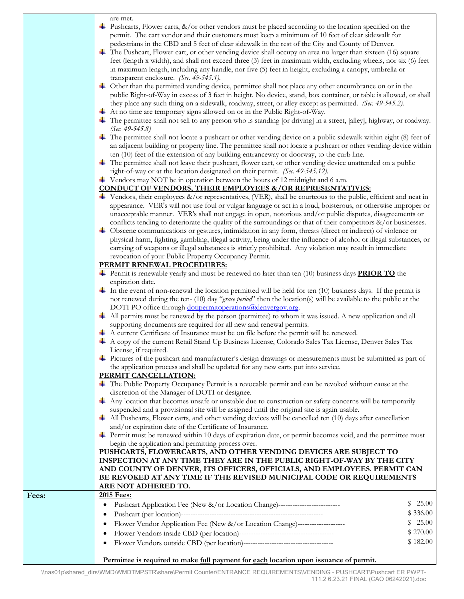| are met.                                                                                                                   |          |
|----------------------------------------------------------------------------------------------------------------------------|----------|
| $\downarrow$ Pushcarts, Flower carts, &/or other vendors must be placed according to the location specified on the         |          |
| permit. The cart vendor and their customers must keep a minimum of 10 feet of clear sidewalk for                           |          |
| pedestrians in the CBD and 5 feet of clear sidewalk in the rest of the City and County of Denver.                          |          |
| $\pm$ The Pushcart, Flower cart, or other vending device shall occupy an area no larger than sixteen (16) square           |          |
| feet (length x width), and shall not exceed three (3) feet in maximum width, excluding wheels, nor six (6) feet            |          |
|                                                                                                                            |          |
| in maximum length, including any handle, nor five (5) feet in height, excluding a canopy, umbrella or                      |          |
| transparent enclosure. (Sec. 49-545.1).                                                                                    |          |
| + Other than the permitted vending device, permittee shall not place any other encumbrance on or in the                    |          |
| public Right-of-Way in excess of 3 feet in height. No device, stand, box container, or table is allowed, or shall          |          |
| they place any such thing on a sidewalk, roadway, street, or alley except as permitted. (Sec. 49-545.2).                   |          |
| $\overline{\mathbf{A}}$ At no time are temporary signs allowed on or in the Public Right-of-Way.                           |          |
| The permittee shall not sell to any person who is standing [or driving] in a street, [alley], highway, or roadway.         |          |
| (Sec. $49 - 545.8$ )                                                                                                       |          |
| $\perp$ The permittee shall not locate a pushcart or other vending device on a public sidewalk within eight (8) feet of    |          |
| an adjacent building or property line. The permittee shall not locate a pushcart or other vending device within            |          |
| ten (10) feet of the extension of any building entranceway or doorway, to the curb line.                                   |          |
| The permittee shall not leave their pushcart, flower cart, or other vending device unattended on a public                  |          |
| right-of-way or at the location designated on their permit. (Sec. 49-545.12).                                              |          |
| $\overline{\phantom{a}}$ Vendors may NOT be in operation between the hours of 12 midnight and 6 a.m.                       |          |
| <b>CONDUCT OF VENDORS, THEIR EMPLOYEES &amp;/OR REPRESENTATIVES:</b>                                                       |          |
| $\downarrow$ Vendors, their employees &/or representatives, (VER), shall be courteous to the public, efficient and neat in |          |
| appearance. VER's will not use foul or vulgar language or act in a loud, boisterous, or otherwise improper or              |          |
| unacceptable manner. VER's shall not engage in open, notorious and/or public disputes, disagreements or                    |          |
| conflicts tending to deteriorate the quality of the surroundings or that of their competitors &/or businesses.             |          |
|                                                                                                                            |          |
| + Obscene communications or gestures, intimidation in any form, threats (direct or indirect) of violence or                |          |
| physical harm, fighting, gambling, illegal activity, being under the influence of alcohol or illegal substances, or        |          |
| carrying of weapons or illegal substances is strictly prohibited. Any violation may result in immediate                    |          |
| revocation of your Public Property Occupancy Permit.                                                                       |          |
| PERMIT RENEWAL PROCEDURES:                                                                                                 |          |
| $\blacksquare$ Permit is renewable yearly and must be renewed no later than ten (10) business days <b>PRIOR TO</b> the     |          |
| expiration date.                                                                                                           |          |
| $\perp$ In the event of non-renewal the location permitted will be held for ten (10) business days. If the permit is       |          |
| not renewed during the ten- (10) day "grace period" then the location(s) will be available to the public at the            |          |
| DOTI PO office through dotipermitoperations@denvergov.org.                                                                 |          |
| $\perp$ All permits must be renewed by the person (permittee) to whom it was issued. A new application and all             |          |
| supporting documents are required for all new and renewal permits.                                                         |          |
| A current Certificate of Insurance must be on file before the permit will be renewed.                                      |          |
| A copy of the current Retail Stand Up Business License, Colorado Sales Tax License, Denver Sales Tax                       |          |
| License, if required.                                                                                                      |          |
| Fictures of the pushcart and manufacturer's design drawings or measurements must be submitted as part of                   |          |
| the application process and shall be updated for any new carts put into service.                                           |          |
| PERMIT CANCELLATION:                                                                                                       |          |
| The Public Property Occupancy Permit is a revocable permit and can be revoked without cause at the                         |          |
| discretion of the Manager of DOTI or designee.                                                                             |          |
| Any location that becomes unsafe or unstable due to construction or safety concerns will be temporarily                    |          |
| suspended and a provisional site will be assigned until the original site is again usable.                                 |          |
| $\perp$ All Pushcarts, Flower carts, and other vending devices will be cancelled ten (10) days after cancellation          |          |
| and/or expiration date of the Certificate of Insurance.                                                                    |          |
|                                                                                                                            |          |
| Permit must be renewed within 10 days of expiration date, or permit becomes void, and the permittee must                   |          |
| begin the application and permitting process over.                                                                         |          |
| PUSHCARTS, FLOWERCARTS, AND OTHER VENDING DEVICES ARE SUBJECT TO                                                           |          |
| INSPECTION AT ANY TIME THEY ARE IN THE PUBLIC RIGHT-OF-WAY BY THE CITY                                                     |          |
| AND COUNTY OF DENVER, ITS OFFICERS, OFFICIALS, AND EMPLOYEES. PERMIT CAN                                                   |          |
| BE REVOKED AT ANY TIME IF THE REVISED MUNICIPAL CODE OR REQUIREMENTS                                                       |          |
| ARE NOT ADHERED TO.                                                                                                        |          |
| 2015 Fees:                                                                                                                 |          |
| Pushcart Application Fee (New &/or Location Change)----------------------------                                            | 25.00    |
| ٠                                                                                                                          | \$336.00 |
| Flower Vendor Application Fee (New &/or Location Change)--------------------<br>$\bullet$                                  | 25.00    |
|                                                                                                                            | \$270.00 |
| $\bullet$                                                                                                                  |          |
| $\bullet$                                                                                                                  | \$182.00 |
|                                                                                                                            |          |

**Permittee is required to make full payment for each location upon issuance of permit.**

**Fees: 2015 Fees:**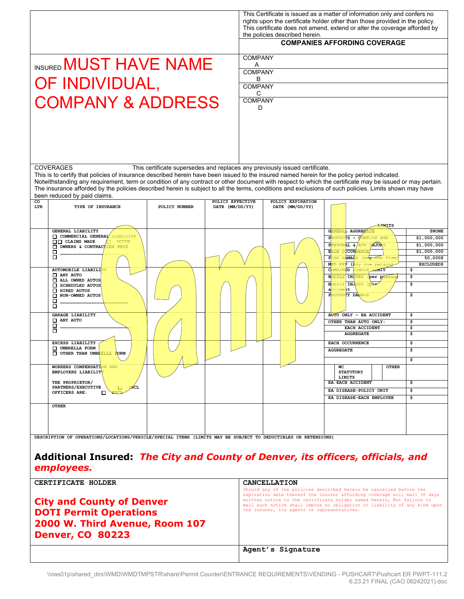|                                  |                                                                                                                                                                                                                                                                                                          |                                                                             |                                     |                                                                                                                                                   | This Certificate is issued as a matter of information only and confers no<br>rights upon the certificate holder other than those provided in the policy.<br>This certificate does not amend, extend or alter the coverage afforded by<br>the policies described herein. |                                      |        |                            |              |              |                         |
|----------------------------------|----------------------------------------------------------------------------------------------------------------------------------------------------------------------------------------------------------------------------------------------------------------------------------------------------------|-----------------------------------------------------------------------------|-------------------------------------|---------------------------------------------------------------------------------------------------------------------------------------------------|-------------------------------------------------------------------------------------------------------------------------------------------------------------------------------------------------------------------------------------------------------------------------|--------------------------------------|--------|----------------------------|--------------|--------------|-------------------------|
|                                  |                                                                                                                                                                                                                                                                                                          |                                                                             |                                     | <b>COMPANIES AFFORDING COVERAGE</b>                                                                                                               |                                                                                                                                                                                                                                                                         |                                      |        |                            |              |              |                         |
|                                  | INSURED MUST HAVE NAME                                                                                                                                                                                                                                                                                   |                                                                             |                                     | <b>COMPANY</b><br>A                                                                                                                               |                                                                                                                                                                                                                                                                         |                                      |        |                            |              |              |                         |
|                                  |                                                                                                                                                                                                                                                                                                          |                                                                             |                                     | <b>COMPANY</b>                                                                                                                                    |                                                                                                                                                                                                                                                                         |                                      |        |                            |              |              |                         |
|                                  | OF INDIVIDUAL,                                                                                                                                                                                                                                                                                           |                                                                             |                                     | в<br><b>COMPANY</b>                                                                                                                               |                                                                                                                                                                                                                                                                         |                                      |        |                            |              |              |                         |
|                                  | <b>COMPANY &amp; ADDRESS</b>                                                                                                                                                                                                                                                                             |                                                                             |                                     | C<br><b>COMPANY</b>                                                                                                                               |                                                                                                                                                                                                                                                                         |                                      |        |                            |              |              |                         |
|                                  |                                                                                                                                                                                                                                                                                                          |                                                                             |                                     | D                                                                                                                                                 |                                                                                                                                                                                                                                                                         |                                      |        |                            |              |              |                         |
|                                  |                                                                                                                                                                                                                                                                                                          |                                                                             |                                     |                                                                                                                                                   |                                                                                                                                                                                                                                                                         |                                      |        |                            |              |              |                         |
|                                  |                                                                                                                                                                                                                                                                                                          |                                                                             |                                     |                                                                                                                                                   |                                                                                                                                                                                                                                                                         |                                      |        |                            |              |              |                         |
|                                  |                                                                                                                                                                                                                                                                                                          |                                                                             |                                     |                                                                                                                                                   |                                                                                                                                                                                                                                                                         |                                      |        |                            |              |              |                         |
|                                  | <b>COVERAGES</b>                                                                                                                                                                                                                                                                                         | This certificate supersedes and replaces any previously issued certificate. |                                     |                                                                                                                                                   |                                                                                                                                                                                                                                                                         |                                      |        |                            |              |              |                         |
|                                  | This is to certify that policies of insurance described herein have been issued to the insured named herein for the policy period indicated.<br>Notwithstanding any requirement, term or condition of any contract or other document with respect to which the certificate may be issued or may pertain. |                                                                             |                                     |                                                                                                                                                   |                                                                                                                                                                                                                                                                         |                                      |        |                            |              |              |                         |
|                                  | The insurance afforded by the policies described herein is subject to all the terms, conditions and exclusions of such policies. Limits shown may have<br>been reduced by paid claims.                                                                                                                   |                                                                             |                                     |                                                                                                                                                   |                                                                                                                                                                                                                                                                         |                                      |        |                            |              |              |                         |
| co<br>LTR                        | TYPE OF INSURANCE                                                                                                                                                                                                                                                                                        | POLICY NUMBER                                                               | POLICY EFFECTIVE<br>DATE (MM/DD/YY) |                                                                                                                                                   |                                                                                                                                                                                                                                                                         | POLICY EXPIRATION<br>DATE (MM/DD/YY) |        |                            |              |              |                         |
|                                  |                                                                                                                                                                                                                                                                                                          |                                                                             |                                     |                                                                                                                                                   |                                                                                                                                                                                                                                                                         |                                      |        |                            |              |              |                         |
|                                  | GENERAL LIABILITY<br>COMMERCIAL GENERAL                                                                                                                                                                                                                                                                  |                                                                             |                                     |                                                                                                                                                   |                                                                                                                                                                                                                                                                         |                                      | G      | AGGRE                      |              | ITS          | <b>\$NONE</b>           |
|                                  | $\Box$ $\Box$ CLAIMS MADE                                                                                                                                                                                                                                                                                |                                                                             |                                     |                                                                                                                                                   |                                                                                                                                                                                                                                                                         |                                      | P      | $rs - \overline{q}$        |              |              | \$1,000,000             |
|                                  | OWNERS & CONTRACT                                                                                                                                                                                                                                                                                        |                                                                             |                                     |                                                                                                                                                   |                                                                                                                                                                                                                                                                         |                                      | P      | AL &                       | <b>AJUR</b>  |              | \$1,000,000             |
|                                  | □<br>□                                                                                                                                                                                                                                                                                                   |                                                                             |                                     |                                                                                                                                                   |                                                                                                                                                                                                                                                                         |                                      | E<br>F | CUR<br>MAC                 |              |              | \$1,000,000<br>50,000\$ |
|                                  |                                                                                                                                                                                                                                                                                                          |                                                                             |                                     |                                                                                                                                                   |                                                                                                                                                                                                                                                                         |                                      | M      |                            |              |              | <b>EXCLUDED\$</b>       |
|                                  | AUTOMOBILE LIABILI                                                                                                                                                                                                                                                                                       |                                                                             |                                     |                                                                                                                                                   |                                                                                                                                                                                                                                                                         |                                      | þ      | $\overline{\mathbf{E}}$    | ATM11        |              | \$                      |
|                                  | $\Box$ ANY AUTO<br>ALL OWNED AUTOS                                                                                                                                                                                                                                                                       |                                                                             |                                     |                                                                                                                                                   |                                                                                                                                                                                                                                                                         |                                      | B      | IN.                        | per <u>p</u> |              | \$                      |
|                                  | <b>NUMBER OF SCHEDULED AUTOS</b>                                                                                                                                                                                                                                                                         |                                                                             |                                     |                                                                                                                                                   |                                                                                                                                                                                                                                                                         |                                      | E      | INJ                        |              |              | \$                      |
|                                  | <b>T</b> HIRED AUTOS<br>NON-OWNED AUTOS                                                                                                                                                                                                                                                                  |                                                                             |                                     |                                                                                                                                                   |                                                                                                                                                                                                                                                                         |                                      |        | ht<br>TY DAY               |              |              | \$                      |
|                                  | □<br>□                                                                                                                                                                                                                                                                                                   |                                                                             |                                     |                                                                                                                                                   |                                                                                                                                                                                                                                                                         |                                      |        |                            |              |              |                         |
|                                  | <b>GARAGE LIABILITY</b>                                                                                                                                                                                                                                                                                  |                                                                             |                                     |                                                                                                                                                   |                                                                                                                                                                                                                                                                         |                                      |        | ACTO ONLY - EA ACCIDENT    |              |              | \$                      |
|                                  | <b>NANY AUTO</b>                                                                                                                                                                                                                                                                                         |                                                                             |                                     |                                                                                                                                                   |                                                                                                                                                                                                                                                                         |                                      |        | OTHER THAN AUTO ONLY:      |              |              | \$                      |
|                                  | □<br>$\Box$                                                                                                                                                                                                                                                                                              |                                                                             |                                     |                                                                                                                                                   |                                                                                                                                                                                                                                                                         |                                      |        | EACH ACCIDENT              |              |              | \$                      |
|                                  |                                                                                                                                                                                                                                                                                                          |                                                                             |                                     |                                                                                                                                                   |                                                                                                                                                                                                                                                                         |                                      |        | <b>AGGREGATE</b>           |              |              | \$                      |
|                                  | <b>EXCESS LIABILITY</b><br>UMBRELLA FORM                                                                                                                                                                                                                                                                 |                                                                             |                                     |                                                                                                                                                   |                                                                                                                                                                                                                                                                         |                                      |        | EACH OCCURRENCE            |              |              | \$                      |
|                                  | OTHER THAN UMBE<br>ORM                                                                                                                                                                                                                                                                                   |                                                                             |                                     |                                                                                                                                                   |                                                                                                                                                                                                                                                                         |                                      |        | <b>AGGREGATE</b>           |              |              | \$                      |
|                                  | WORKERS COMPENSATI                                                                                                                                                                                                                                                                                       |                                                                             |                                     |                                                                                                                                                   |                                                                                                                                                                                                                                                                         |                                      |        | WC                         |              | <b>OTHER</b> | \$                      |
|                                  | EMPLOYERS LIABILIT                                                                                                                                                                                                                                                                                       |                                                                             |                                     |                                                                                                                                                   |                                                                                                                                                                                                                                                                         |                                      |        | <b>STATUTORY</b><br>LIMITS |              |              |                         |
|                                  | THE PROPRIETOR/                                                                                                                                                                                                                                                                                          |                                                                             |                                     |                                                                                                                                                   |                                                                                                                                                                                                                                                                         |                                      |        | EA EACH ACCIDENT           |              |              | \$                      |
|                                  | ĆЪ<br>PARTNERS/EXECUTIVE<br>OFFICERS ARE:<br>п                                                                                                                                                                                                                                                           |                                                                             |                                     |                                                                                                                                                   |                                                                                                                                                                                                                                                                         |                                      |        | EA DISEASE-POLICY UNIT     |              |              | \$                      |
|                                  |                                                                                                                                                                                                                                                                                                          |                                                                             |                                     |                                                                                                                                                   |                                                                                                                                                                                                                                                                         |                                      |        | EA DISEASE-EACH EMPLOYEE   |              |              | \$                      |
|                                  | <b>OTHER</b>                                                                                                                                                                                                                                                                                             |                                                                             |                                     |                                                                                                                                                   |                                                                                                                                                                                                                                                                         |                                      |        |                            |              |              |                         |
|                                  |                                                                                                                                                                                                                                                                                                          |                                                                             |                                     |                                                                                                                                                   |                                                                                                                                                                                                                                                                         |                                      |        |                            |              |              |                         |
|                                  |                                                                                                                                                                                                                                                                                                          |                                                                             |                                     |                                                                                                                                                   |                                                                                                                                                                                                                                                                         |                                      |        |                            |              |              |                         |
|                                  | DESCRIPTION OF OPERATIONS/LOCATIONS/VEHICLE/SPECIAL ITEMS (LIMITS MAY BE SUBJECT TO DEDUCTIBLES OR RETENSIONS)                                                                                                                                                                                           |                                                                             |                                     |                                                                                                                                                   |                                                                                                                                                                                                                                                                         |                                      |        |                            |              |              |                         |
|                                  |                                                                                                                                                                                                                                                                                                          |                                                                             |                                     |                                                                                                                                                   |                                                                                                                                                                                                                                                                         |                                      |        |                            |              |              |                         |
|                                  |                                                                                                                                                                                                                                                                                                          |                                                                             |                                     |                                                                                                                                                   |                                                                                                                                                                                                                                                                         |                                      |        |                            |              |              |                         |
|                                  | Additional Insured: The City and County of Denver, its officers, officials, and                                                                                                                                                                                                                          |                                                                             |                                     |                                                                                                                                                   |                                                                                                                                                                                                                                                                         |                                      |        |                            |              |              |                         |
|                                  | employees.                                                                                                                                                                                                                                                                                               |                                                                             |                                     |                                                                                                                                                   |                                                                                                                                                                                                                                                                         |                                      |        |                            |              |              |                         |
|                                  |                                                                                                                                                                                                                                                                                                          |                                                                             |                                     |                                                                                                                                                   |                                                                                                                                                                                                                                                                         |                                      |        |                            |              |              |                         |
|                                  | CERTIFICATE HOLDER                                                                                                                                                                                                                                                                                       |                                                                             |                                     | <b>CANCELLATION</b><br>Should any of the policies described herein be cancelled before the                                                        |                                                                                                                                                                                                                                                                         |                                      |        |                            |              |              |                         |
|                                  |                                                                                                                                                                                                                                                                                                          |                                                                             |                                     | expiration date thereof the insurer affording coverage will mail 30 days<br>written notice to the certificate holder named herein, But failure to |                                                                                                                                                                                                                                                                         |                                      |        |                            |              |              |                         |
| <b>City and County of Denver</b> |                                                                                                                                                                                                                                                                                                          |                                                                             |                                     |                                                                                                                                                   |                                                                                                                                                                                                                                                                         |                                      |        |                            |              |              |                         |

| <b>City and County of Denver</b> | expiration date thereof the insurer affording coverage will mail 30 days  |
|----------------------------------|---------------------------------------------------------------------------|
| <b>DOTI Permit Operations</b>    | written notice to the certificate holder named herein, But failure to     |
| 2000 W. Third Avenue, Room 107   | mail such notice shall impose no obligation or liability of any kind upon |
| <b>Denver, CO 80223</b>          | the insurer, its agents or representatives.                               |
|                                  | Agent's Signature                                                         |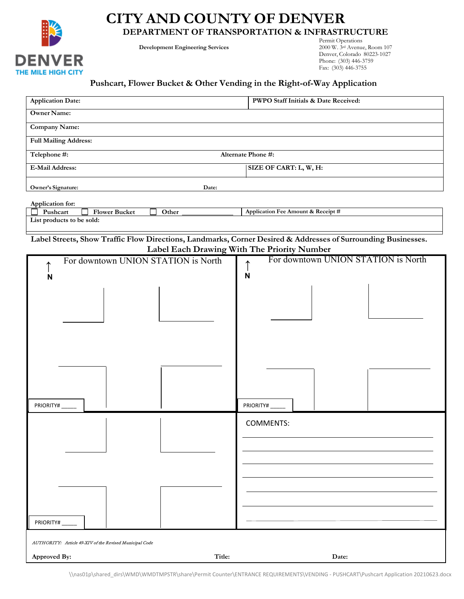

# **CITY AND COUNTY OF DENVER**

**DEPARTMENT OF TRANSPORTATION & INFRASTRUCTURE**

**Development Engineering Services** 

Permit Operations<br>2000 W. 3<sup>rd</sup> Avenue, Room 107 Denver, Colorado 80223-1027 Phone: (303) 446-3759 Fax: (303) 446-3755

#### **Pushcart, Flower Bucket & Other Vending in the Right-of-Way Application**

| <b>Application Date:</b>                                                                                      | PWPO Staff Initials & Date Received:        |  |  |  |  |  |  |
|---------------------------------------------------------------------------------------------------------------|---------------------------------------------|--|--|--|--|--|--|
| <b>Owner Name:</b>                                                                                            |                                             |  |  |  |  |  |  |
| Company Name:                                                                                                 |                                             |  |  |  |  |  |  |
| <b>Full Mailing Address:</b>                                                                                  |                                             |  |  |  |  |  |  |
| Alternate Phone #:<br>Telephone #:                                                                            |                                             |  |  |  |  |  |  |
| <b>E-Mail Address:</b>                                                                                        | SIZE OF CART: L, W, H:                      |  |  |  |  |  |  |
| Owner's Signature:<br>Date:                                                                                   |                                             |  |  |  |  |  |  |
|                                                                                                               |                                             |  |  |  |  |  |  |
| Application for:<br><b>Flower Bucket</b><br>Pushcart<br>Other                                                 | Application Fee Amount & Receipt #          |  |  |  |  |  |  |
| List products to be sold:                                                                                     |                                             |  |  |  |  |  |  |
| Label Streets, Show Traffic Flow Directions, Landmarks, Corner Desired & Addresses of Surrounding Businesses. |                                             |  |  |  |  |  |  |
|                                                                                                               | Label Each Drawing With The Priority Number |  |  |  |  |  |  |
| For downtown UNION STATION is North                                                                           | For downtown UNION STATION is North         |  |  |  |  |  |  |
| N                                                                                                             | $\mathsf{N}$                                |  |  |  |  |  |  |
|                                                                                                               |                                             |  |  |  |  |  |  |
|                                                                                                               |                                             |  |  |  |  |  |  |
|                                                                                                               |                                             |  |  |  |  |  |  |
|                                                                                                               |                                             |  |  |  |  |  |  |
|                                                                                                               |                                             |  |  |  |  |  |  |
|                                                                                                               |                                             |  |  |  |  |  |  |
|                                                                                                               |                                             |  |  |  |  |  |  |
|                                                                                                               |                                             |  |  |  |  |  |  |
|                                                                                                               |                                             |  |  |  |  |  |  |
| PRIORITY#                                                                                                     | PRIORITY#                                   |  |  |  |  |  |  |
|                                                                                                               | <b>COMMENTS:</b>                            |  |  |  |  |  |  |
|                                                                                                               |                                             |  |  |  |  |  |  |
|                                                                                                               |                                             |  |  |  |  |  |  |
|                                                                                                               |                                             |  |  |  |  |  |  |
|                                                                                                               |                                             |  |  |  |  |  |  |
|                                                                                                               |                                             |  |  |  |  |  |  |
|                                                                                                               |                                             |  |  |  |  |  |  |
|                                                                                                               |                                             |  |  |  |  |  |  |
| PRIORITY#                                                                                                     |                                             |  |  |  |  |  |  |
| AUTHORITY: Article 49-XIV of the Revised Municipal Code                                                       |                                             |  |  |  |  |  |  |
| Title:<br>Approved By:                                                                                        | Date:                                       |  |  |  |  |  |  |